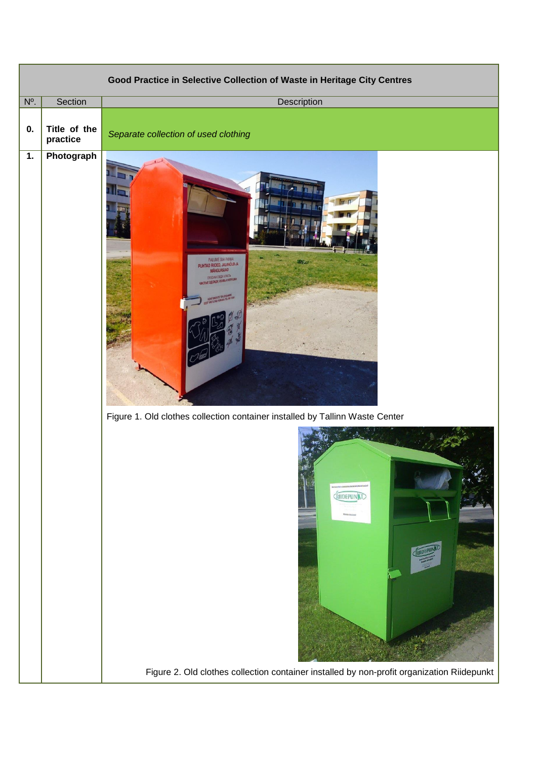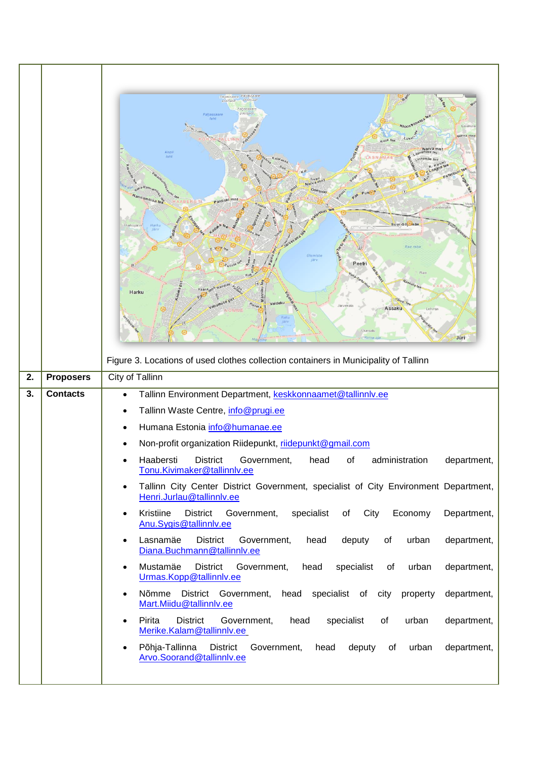|    |                  | Paljassaare Paljassaar<br>poolsaar<br>onolsaar<br>aljassaar<br>Laraküli<br>sarva mn<br>Nary a mn<br>Kop<br>l <sub>2</sub> h<br>Nary a mnt<br>Gonsion<br>Paldiski mnt<br>oodevah<br>Suur-Sõjamäe<br>Harkujärve<br><b>Olemiste</b><br>Peetr<br>Harku<br>Valdeku<br>Pihlaki<br>lärvekül<br>Assaku<br>Lehmi<br>Uuesal<br>Jüri<br>Figure 3. Locations of used clothes collection containers in Municipality of Tallinn |  |  |  |  |  |
|----|------------------|-------------------------------------------------------------------------------------------------------------------------------------------------------------------------------------------------------------------------------------------------------------------------------------------------------------------------------------------------------------------------------------------------------------------|--|--|--|--|--|
| 2. | <b>Proposers</b> | City of Tallinn                                                                                                                                                                                                                                                                                                                                                                                                   |  |  |  |  |  |
| 3. | <b>Contacts</b>  | Tallinn Environment Department, keskkonnaamet@tallinnlv.ee<br>$\bullet$                                                                                                                                                                                                                                                                                                                                           |  |  |  |  |  |
|    |                  | Tallinn Waste Centre, info@prugi.ee                                                                                                                                                                                                                                                                                                                                                                               |  |  |  |  |  |
|    |                  | Humana Estonia info@humanae.ee                                                                                                                                                                                                                                                                                                                                                                                    |  |  |  |  |  |
|    |                  | Non-profit organization Riidepunkt, riidepunkt@gmail.com                                                                                                                                                                                                                                                                                                                                                          |  |  |  |  |  |
|    |                  | <b>District</b><br>Haabersti<br>Government,<br>head<br>of<br>administration<br>department,<br><u>Tonu.Kivimaker@tallinnlv.ee</u>                                                                                                                                                                                                                                                                                  |  |  |  |  |  |
|    |                  | Tallinn City Center District Government, specialist of City Environment Department,<br>$\bullet$<br>Henri.Jurlau@tallinnlv.ee                                                                                                                                                                                                                                                                                     |  |  |  |  |  |
|    |                  | Kristiine<br>City<br><b>District</b><br>specialist<br>Economy<br>Department,<br>Government,<br>of<br>$\bullet$<br>Anu.Sygis@tallinnly.ee                                                                                                                                                                                                                                                                          |  |  |  |  |  |
|    |                  | Lasnamäe<br><b>District</b><br>deputy<br>urban<br>department,<br>Government,<br>head<br>of<br>$\bullet$<br>Diana.Buchmann@tallinnlv.ee                                                                                                                                                                                                                                                                            |  |  |  |  |  |
|    |                  | Mustamäe<br><b>District</b><br>head<br>specialist<br>urban<br>department,<br>Government,<br>of<br>$\bullet$<br>Urmas.Kopp@tallinnlv.ee                                                                                                                                                                                                                                                                            |  |  |  |  |  |
|    |                  | Nõmme District Government, head specialist of city<br>department,<br>property<br>$\bullet$<br>Mart.Miidu@tallinnlv.ee                                                                                                                                                                                                                                                                                             |  |  |  |  |  |
|    |                  |                                                                                                                                                                                                                                                                                                                                                                                                                   |  |  |  |  |  |
|    |                  | Pirita<br><b>District</b><br>Government,<br>head<br>specialist<br>urban<br>department,<br>of<br>$\bullet$<br>Merike.Kalam@tallinnlv.ee                                                                                                                                                                                                                                                                            |  |  |  |  |  |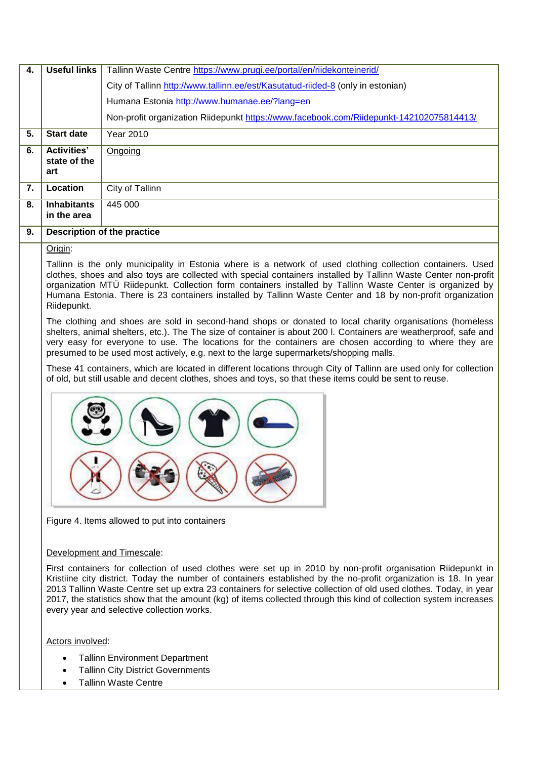| 4. | Useful links                              | Tallinn Waste Centre https://www.prugi.ee/portal/en/riidekonteinerid/                   |  |  |  |  |
|----|-------------------------------------------|-----------------------------------------------------------------------------------------|--|--|--|--|
|    |                                           | City of Tallinn http://www.tallinn.ee/est/Kasutatud-riided-8 (only in estonian)         |  |  |  |  |
|    |                                           | Humana Estonia http://www.humanae.ee/?lang=en                                           |  |  |  |  |
|    |                                           | Non-profit organization Riidepunkt https://www.facebook.com/Riidepunkt-142102075814413/ |  |  |  |  |
| 5. | <b>Start date</b>                         | Year 2010                                                                               |  |  |  |  |
| 6. | <b>Activities'</b><br>state of the<br>art | Ongoing                                                                                 |  |  |  |  |
| 7. | Location                                  | City of Tallinn                                                                         |  |  |  |  |
| 8. | <b>Inhabitants</b><br>in the area         | 445 000                                                                                 |  |  |  |  |
| 9. | Description of the practice               |                                                                                         |  |  |  |  |

Origin:

Tallinn is the only municipality in Estonia where is a network of used clothing collection containers. Used clothes, shoes and also toys are collected with special containers installed by Tallinn Waste Center non-profit organization MTÜ Riidepunkt. Collection form containers installed by Tallinn Waste Center is organized by Humana Estonia. There is 23 containers installed by Tallinn Waste Center and 18 by non-profit organization Riidepunkt.

The clothing and shoes are sold in second-hand shops or donated to local charity organisations (homeless shelters, animal shelters, etc.). The The size of container is about 200 l. Containers are weatherproof, safe and very easy for everyone to use. The locations for the containers are chosen according to where they are presumed to be used most actively, e.g. next to the large supermarkets/shopping malls.

These 41 containers, which are located in different locations through City of Tallinn are used only for collection of old, but still usable and decent clothes, shoes and toys, so that these items could be sent to reuse.



Figure 4. Items allowed to put into containers

## Development and Timescale:

First containers for collection of used clothes were set up in 2010 by non-profit organisation Riidepunkt in Kristiine city district. Today the number of containers established by the no-profit organization is 18. In year 2013 Tallinn Waste Centre set up extra 23 containers for selective collection of old used clothes. Today, in year 2017, the statistics show that the amount (kg) of items collected through this kind of collection system increases every year and selective collection works.

Actors involved:

- Tallinn Environment Department
- Tallinn City District Governments
- Tallinn Waste Centre